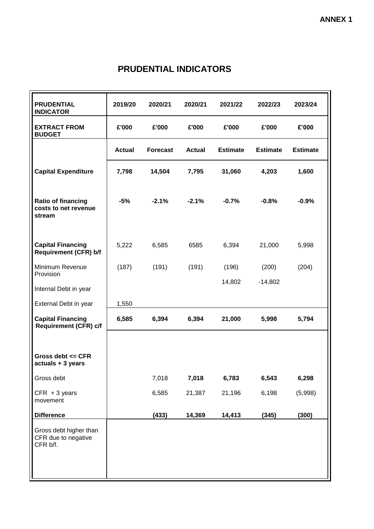## **PRUDENTIAL INDICATORS**

| <b>PRUDENTIAL</b><br><b>INDICATOR</b>                     | 2019/20       | 2020/21         | 2020/21       | 2021/22         | 2022/23         | 2023/24         |
|-----------------------------------------------------------|---------------|-----------------|---------------|-----------------|-----------------|-----------------|
| <b>EXTRACT FROM</b><br><b>BUDGET</b>                      | £'000         | £'000           | £'000         | £'000           | £'000           | £'000           |
|                                                           | <b>Actual</b> | <b>Forecast</b> | <b>Actual</b> | <b>Estimate</b> | <b>Estimate</b> | <b>Estimate</b> |
| <b>Capital Expenditure</b>                                | 7,798         | 14,504          | 7,795         | 31,060          | 4,203           | 1,600           |
| Ratio of financing<br>costs to net revenue<br>stream      | $-5%$         | $-2.1%$         | $-2.1%$       | $-0.7%$         | $-0.8%$         | $-0.9%$         |
| <b>Capital Financing</b><br><b>Requirement (CFR) b/f</b>  | 5,222         | 6,585           | 6585          | 6,394           | 21,000          | 5,998           |
| Minimum Revenue<br>Provision                              | (187)         | (191)           | (191)         | (196)           | (200)           | (204)           |
| Internal Debt in year                                     |               |                 |               | 14,802          | $-14,802$       |                 |
| External Debt in year                                     | 1,550         |                 |               |                 |                 |                 |
| <b>Capital Financing</b><br><b>Requirement (CFR) c/f</b>  | 6,585         | 6,394           | 6,394         | 21,000          | 5,998           | 5,794           |
| Gross debt $\leq$ CFR<br>actuals + 3 years                |               |                 |               |                 |                 |                 |
| Gross debt                                                |               | 7,018           | 7,018         | 6,783           | 6,543           | 6,298           |
| $CFR + 3$ years<br>movement                               |               | 6,585           | 21,387        | 21,196          | 6,198           | (5,998)         |
| <b>Difference</b>                                         |               | (433)           | 14,369        | 14,413          | (345)           | (300)           |
| Gross debt higher than<br>CFR due to negative<br>CFR b/f. |               |                 |               |                 |                 |                 |